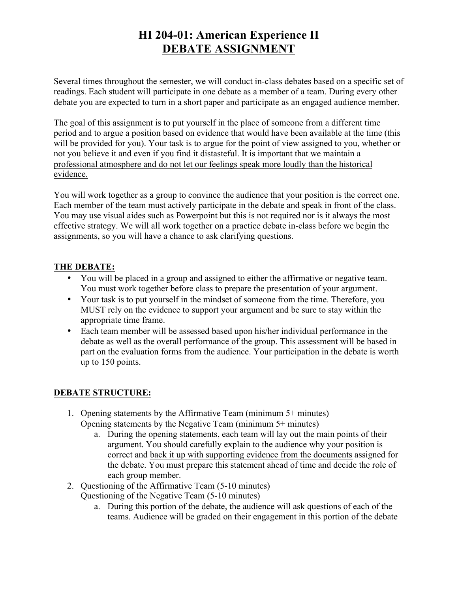# **HI 204-01: American Experience II DEBATE ASSIGNMENT**

Several times throughout the semester, we will conduct in-class debates based on a specific set of readings. Each student will participate in one debate as a member of a team. During every other debate you are expected to turn in a short paper and participate as an engaged audience member.

The goal of this assignment is to put yourself in the place of someone from a different time period and to argue a position based on evidence that would have been available at the time (this will be provided for you). Your task is to argue for the point of view assigned to you, whether or not you believe it and even if you find it distasteful. It is important that we maintain a professional atmosphere and do not let our feelings speak more loudly than the historical evidence.

You will work together as a group to convince the audience that your position is the correct one. Each member of the team must actively participate in the debate and speak in front of the class. You may use visual aides such as Powerpoint but this is not required nor is it always the most effective strategy. We will all work together on a practice debate in-class before we begin the assignments, so you will have a chance to ask clarifying questions.

## **THE DEBATE:**

- You will be placed in a group and assigned to either the affirmative or negative team. You must work together before class to prepare the presentation of your argument.
- Your task is to put yourself in the mindset of someone from the time. Therefore, you MUST rely on the evidence to support your argument and be sure to stay within the appropriate time frame.
- Each team member will be assessed based upon his/her individual performance in the debate as well as the overall performance of the group. This assessment will be based in part on the evaluation forms from the audience. Your participation in the debate is worth up to 150 points.

## **DEBATE STRUCTURE:**

- 1. Opening statements by the Affirmative Team (minimum 5+ minutes) Opening statements by the Negative Team (minimum 5+ minutes)
	- a. During the opening statements, each team will lay out the main points of their argument. You should carefully explain to the audience why your position is correct and back it up with supporting evidence from the documents assigned for the debate. You must prepare this statement ahead of time and decide the role of each group member.
- 2. Questioning of the Affirmative Team (5-10 minutes) Questioning of the Negative Team (5-10 minutes)
	- a. During this portion of the debate, the audience will ask questions of each of the teams. Audience will be graded on their engagement in this portion of the debate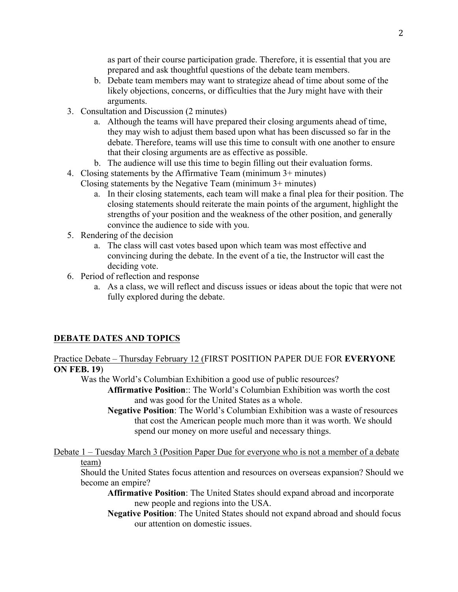as part of their course participation grade. Therefore, it is essential that you are prepared and ask thoughtful questions of the debate team members.

- b. Debate team members may want to strategize ahead of time about some of the likely objections, concerns, or difficulties that the Jury might have with their arguments.
- 3. Consultation and Discussion (2 minutes)
	- a. Although the teams will have prepared their closing arguments ahead of time, they may wish to adjust them based upon what has been discussed so far in the debate. Therefore, teams will use this time to consult with one another to ensure that their closing arguments are as effective as possible.
	- b. The audience will use this time to begin filling out their evaluation forms.
- 4. Closing statements by the Affirmative Team (minimum 3+ minutes) Closing statements by the Negative Team (minimum 3+ minutes)
	- a. In their closing statements, each team will make a final plea for their position. The closing statements should reiterate the main points of the argument, highlight the strengths of your position and the weakness of the other position, and generally convince the audience to side with you.
- 5. Rendering of the decision
	- a. The class will cast votes based upon which team was most effective and convincing during the debate. In the event of a tie, the Instructor will cast the deciding vote.
- 6. Period of reflection and response
	- a. As a class, we will reflect and discuss issues or ideas about the topic that were not fully explored during the debate.

#### **DEBATE DATES AND TOPICS**

Practice Debate – Thursday February 12 (FIRST POSITION PAPER DUE FOR **EVERYONE ON FEB. 19**)

Was the World's Columbian Exhibition a good use of public resources?

**Affirmative Position**:: The World's Columbian Exhibition was worth the cost and was good for the United States as a whole.

**Negative Position**: The World's Columbian Exhibition was a waste of resources that cost the American people much more than it was worth. We should spend our money on more useful and necessary things.

Debate 1 – Tuesday March 3 (Position Paper Due for everyone who is not a member of a debate team)

Should the United States focus attention and resources on overseas expansion? Should we become an empire?

**Affirmative Position**: The United States should expand abroad and incorporate new people and regions into the USA.

**Negative Position**: The United States should not expand abroad and should focus our attention on domestic issues.